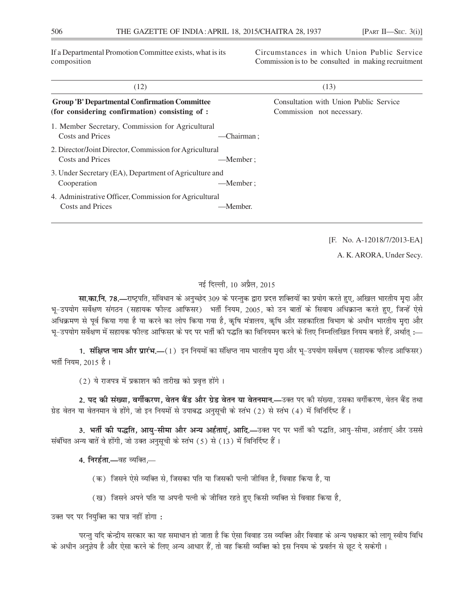If a Departmental Promotion Committee exists, what is its composition

Circumstances in which Union Public Service Commission is to be consulted in making recruitment

| (12)                                                                                                   |            | (13)                                                                |
|--------------------------------------------------------------------------------------------------------|------------|---------------------------------------------------------------------|
| <b>Group 'B' Departmental Confirmation Committee</b><br>(for considering confirmation) consisting of : |            | Consultation with Union Public Service<br>Commission not necessary. |
| 1. Member Secretary, Commission for Agricultural<br>Costs and Prices                                   | -Chairman: |                                                                     |
| 2. Director/Joint Director, Commission for Agricultural<br>Costs and Prices                            | —Member:   |                                                                     |
| 3. Under Secretary (EA), Department of Agriculture and<br>Cooperation                                  | —Member:   |                                                                     |
| 4. Administrative Officer, Commission for Agricultural<br>Costs and Prices                             | —Member.   |                                                                     |

[F. No. A-12018/7/2013-EA]

A. K. ARORA, Under Secy.

# नई दिल्ली, 10 अप्रैल, 2015

**सा.का.नि. 78.—**राष्ट्रपति, संविधान के अनुच्छेद 309 के परन्तुक द्वारा प्रदत्त शक्तियों का प्रयोग करते हुए, अखिल भारतीय मुदा और भू–उपयोग सर्वेक्षण संगठन (सहायक फील्ड आफिसर) भर्ती नियम, 2005, को उन बातों के सिवाय अधिक्रान्त करते हुए, जिन्हें ऐसे अधिक्रमण से पूर्व किया गया है या करने का लोप किया गया है, कृषि मंत्रालय, कृषि और सहकारिता विभाग के अधीन भारतीय मृदा और भू–उपयोग सर्वेक्षण में सहायक फील्ड आफिसर के पद पर भर्ती की पद्धति का विनियमन करने के लिए निम्नलिखित नियम बनाते हैं, अर्थात् :—

1. संक्षिप्त नाम और प्रारंभ.—(1) इन नियमों का संक्षिप्त नाम भारतीय मृदा और भू-उपयोग सर्वेक्षण (सहायक फील्ड आफिसर) भर्ती नियम, 2015 है।

(2) ये राजपत्र में प्रकाशन की तारीख को प्रवृत्त होंगे।

2. पद की संख्या, वर्गीकरण, वेतन बैंड और ग्रेड वेतन या वेतनमान,—उक्त पद की संख्या, उसका वर्गीकरण, वेतन बैंड तथा ग्रेड वेतन या वेतनमान वे होंगे, जो इन नियमों से उपाबद्ध अनुसूची के स्तंभ (2) से स्तंभ (4) में विनिर्दिष्ट हैं।

3. भर्ती की पद्धति, आयु-सीमा और अन्य अर्हताएं, आदि.—उक्त पद पर भर्ती की पद्धति, आयु-सीमा, अर्हताएं और उससे संबंधित अन्य बातें वे होंगी, जो उक्त अनुसूची के स्तंभ (5) से (13) में विनिर्दिष्ट हैं।

4. निरर्हता.—वह व्यक्ति.—

- (क) जिसने ऐसे व्यक्ति से, जिसका पति या जिसकी पत्नी जीवित है, विवाह किया है, या
- (ख) जिसने अपने पति या अपनी पत्नी के जीवित रहते हुए किसी व्यक्ति से विवाह किया है,

उक्त पद पर नियुक्ति का पात्र नहीं होगा:

परन्त यदि केन्द्रीय सरकार का यह समाधान हो जाता है कि ऐसा विवाह उस व्यक्ति और विवाह के अन्य पक्षकार को लाग स्वीय विधि के अधीन अनुज्ञेय है और ऐसा करने के लिए अन्य आधार हैं, तो वह किसी व्यक्ति को इस नियम के प्रवर्तन से छूट दे सकेगी ।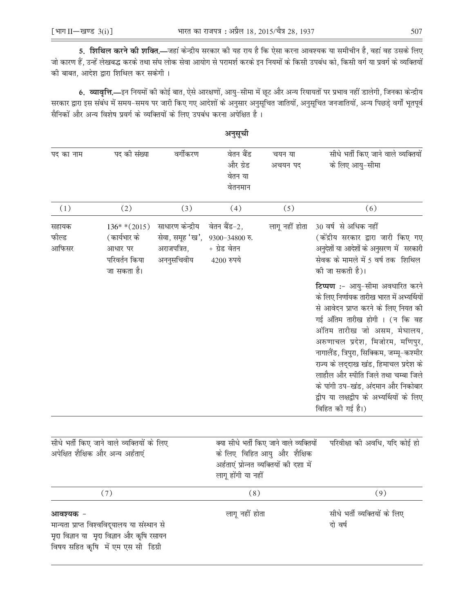5. शिथिल करने की शक्ति.—जहां केन्द्रीय सरकार की यह राय है कि ऐसा करना आवश्यक या समीचीन है, वहां वह उसके लिए जो कारण हैं, उन्हें लेखबद्ध करके तथा संघ लोक सेवा आयोग से परामर्श करके इन नियमों के किसी उपबंध को, किसी वर्ग या प्रवर्ग के व्यक्तियों की बाबत, आदेश द्वारा शिथिल कर सकेगी।

6. व्यावृत्ति.—इन नियमों की कोई बात, ऐसे आरक्षणों, आयु-सीमा में छूट और अन्य रियायतों पर प्रभाव नहीं डालेगी, जिनका केन्द्रीय सरकार द्वारा इस संबंध में समय-समय पर जारी किए गए आदेशों के अनुसार अनुसूचित जातियों, अनुसूचित जनजातियों, अन्य पिछड़े वर्गों भूतपूर्व सैनिकों और अन्य विशेष प्रवर्ग के व्यक्तियों के लिए उपबंध करना अपेक्षित है।

|                         |                                                                                 |                                                                  | अनुसूची                                                          |                                                                                                                    |                                                                                                                                                                                                                                                                                                                                                                                                                                                              |
|-------------------------|---------------------------------------------------------------------------------|------------------------------------------------------------------|------------------------------------------------------------------|--------------------------------------------------------------------------------------------------------------------|--------------------------------------------------------------------------------------------------------------------------------------------------------------------------------------------------------------------------------------------------------------------------------------------------------------------------------------------------------------------------------------------------------------------------------------------------------------|
| पद का नाम               | पद की संख्या                                                                    | वर्गीकरण                                                         | वेतन बैंड<br>और ग्रेड<br>वेतन या<br>वेतनमान                      | चयन या<br>अचयन पद                                                                                                  | सीधे भर्ती किए जाने वाले व्यक्तियों<br>के लिए आयु-सीमा                                                                                                                                                                                                                                                                                                                                                                                                       |
| (1)                     | (2)                                                                             | (3)                                                              | (4)                                                              | (5)                                                                                                                | (6)                                                                                                                                                                                                                                                                                                                                                                                                                                                          |
| सहायक<br>फील्ड<br>आफिसर | $136**(2015)$<br>(कार्यभार के<br>आधार पर<br>परिवर्तन किया<br>जा सकता है।        | साधारण केन्द्रीय<br>सेवा, समूह 'ख',<br>अराजपत्रित,<br>अननुसचिवीय | वेतन बैंड-2,<br>$9300 - 34800$ रु.<br>+ ग्रेड वेतन<br>4200 रुपये | लागू नहीं होता                                                                                                     | 30 वर्ष से अधिक नहीं<br>(केंद्रीय सरकार द्वारा जारी किए गए<br>अनुदेशों या आदेशों के अनुसरण में सरकारी<br>सेवक के मामले में 5 वर्ष तक शिथिल<br>की जा सकती है)।                                                                                                                                                                                                                                                                                                |
|                         |                                                                                 |                                                                  |                                                                  |                                                                                                                    | टिप्पण :- आयु-सीमा अवधारित करने<br>के लिए निर्णायक तारीख भारत में अभ्यर्थियों<br>से आवेदन प्राप्त करने के लिए नियत की<br>गई अंतिम तारीख होगी । (न कि वह<br>अंतिम तारीख जो असम, मेघालय,<br>अरुणाचल प्रदेश, मिजोरम, मणिपुर,<br>नागालैंड, त्रिपुरा, सिक्किम, जम्मू-कश्मीर<br>राज्य के लद्दाख खंड, हिमाचल प्रदेश के<br>लाहौल और स्पीति जिले तथा चम्बा जिले<br>के पांगी उप-खंड, अंदमान और निकोबार<br>द्वीप या लक्षद्वीप के अभ्यर्थियों के लिए<br>विहित की गई है।) |
|                         | सीधे भर्ती किए जाने वाले व्यक्तियों के लिए<br>अपेक्षित शैक्षिक और अन्य अर्हताएं |                                                                  | लागू होंगी या नहीं                                               | क्या सीधे भर्ती किए जाने वाले व्यक्तियों<br>के लिए विहित आयु और शैक्षिक<br>अर्हताएं प्रोन्नत व्यक्तियों की दशा में | परिवीक्षा की अवधि, यदि कोई हो                                                                                                                                                                                                                                                                                                                                                                                                                                |
|                         | (7)                                                                             |                                                                  | (8)                                                              |                                                                                                                    | (9)                                                                                                                                                                                                                                                                                                                                                                                                                                                          |
| आवश्यक -                | मान्यता प्राप्त विश्वविद्यालय या संस्थान से                                     |                                                                  | लागू नहीं होता                                                   |                                                                                                                    | सीधे भर्ती व्यक्तियों के लिए<br>दो वर्ष                                                                                                                                                                                                                                                                                                                                                                                                                      |

मृदा विज्ञान या मृदा विज्ञान और कृषि रसायन विषय सहित कृषि में एम एस सी डिग्री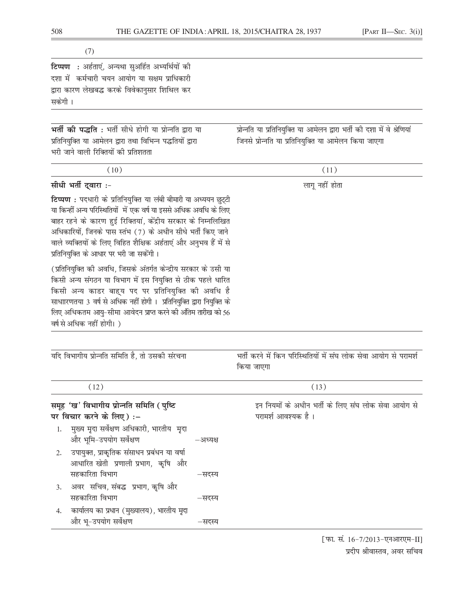| <b>टिप्पण</b> : अर्हताएं, अन्यथा सुअर्हित अभ्यर्थियों को |  |
|----------------------------------------------------------|--|
| दशा में  कर्मचारी चयन आयोग या सक्षम प्राधिकारी           |  |
| द्वारा कारण लेखबद्ध करके विवेकानुसार शिथिल कर            |  |
| सकेंगी ।                                                 |  |
|                                                          |  |

भर्ती की पद्धति: भर्ती सीधे होगी या प्रोन्नति द्वारा या प्रतिनियुक्ति या आमेलन द्वारा तथा विभिन्न पद्धतियों द्वारा भरी जाने वाली रिक्तियों की प्रतिशतता

प्रोन्नति या प्रतिनियुक्ति या आमेलन द्वारा भर्ती की दशा में वे श्रेणियां जिनसे प्रोन्नति या प्रतिनियुक्ति या आमेलन किया जाएगा

| (10)                                                                                                                                                                                                                                                                                                                                                                                   | (11)                                                                           |  |  |
|----------------------------------------------------------------------------------------------------------------------------------------------------------------------------------------------------------------------------------------------------------------------------------------------------------------------------------------------------------------------------------------|--------------------------------------------------------------------------------|--|--|
| सीधी भर्ती द्वारा :-                                                                                                                                                                                                                                                                                                                                                                   | लागू नहीं होता                                                                 |  |  |
| टिप्पण : पदधारी के प्रतिनियुक्ति या लंबी बीमारी या अध्ययन छुट्टी<br>या किन्हीं अन्य परिस्थितियों  में एक वर्ष या इससे अधिक अवधि के लिए<br>बाहर रहने के कारण हुई रिक्तियां, केंद्रीय सरकार के निम्नलिखित<br>अधिकारियों, जिनके पास स्तंभ (7) के अधीन सीधे भर्ती किए जाने<br>वाले व्यक्तियों के लिए विहित शैक्षिक अर्हताएं और अनुभव हैं में से<br>प्रतिनियुक्ति के आधार पर भरी जा सकेंगी। |                                                                                |  |  |
| (प्रतिनियुक्ति की अवधि, जिसके अंतर्गत केन्द्रीय सरकार के उसी या<br>किसी अन्य संगठन या विभाग में इस नियुक्ति से ठीक पहले धारित<br>किसी अन्य काडर बाह्य पद पर प्रतिनियुक्ति की अवधि है<br>साधाारणतया 3 वर्ष से अधिक नहीं होगी । प्रतिनियुक्ति द्वारा नियुक्ति के<br>लिए अधिकतम आयु-सीमा आवेदन प्राप्त करने की अंतिम तारीख को 56<br>वर्ष से अधिक नहीं होगी।)                              |                                                                                |  |  |
|                                                                                                                                                                                                                                                                                                                                                                                        |                                                                                |  |  |
| यदि विभागीय प्रोन्नति समिति है, तो उसकी संरचना                                                                                                                                                                                                                                                                                                                                         | भर्ती करने में किन परिस्थितियों में संघ लोक सेवा आयोग से परामर्श<br>किया जाएगा |  |  |
| (12)                                                                                                                                                                                                                                                                                                                                                                                   | (13)                                                                           |  |  |
| समूह 'ख' विभागीय प्रोन्नति समिति (पुष्टि<br>पर विचार करने के लिए) :-                                                                                                                                                                                                                                                                                                                   | इन नियमों के अधीन भर्ती के लिए संघ लोक सेवा आयोग से<br>परामर्श आवश्यक है।      |  |  |
| मुख्य मृदा सर्वेक्षण अधिकारी, भारतीय  मृदा<br>1.<br>और भूमि-उपयोग सर्वेक्षण<br>–अध्यक्ष                                                                                                                                                                                                                                                                                                |                                                                                |  |  |
| उपायुक्त, प्राकृतिक संसाधन प्रबंधन या वर्षा<br>2.<br>आधारित खेती प्रणाली प्रभाग, कृषि और                                                                                                                                                                                                                                                                                               |                                                                                |  |  |
| सहकारिता विभाग<br>–सदस्य                                                                                                                                                                                                                                                                                                                                                               |                                                                                |  |  |
| अवर सचिव, संबद्ध प्रभाग, कृषि और<br>3.<br>सहकारिता विभाग<br>–सदस्य                                                                                                                                                                                                                                                                                                                     |                                                                                |  |  |

-सदस्य 4. कार्यालय का प्रधान (मुख्यालय), भारतीय मृदा और भू-उपयोग सर्वेक्षण –सदस्य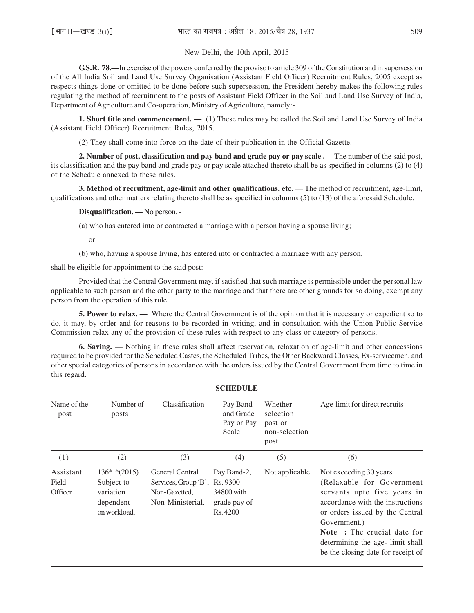### New Delhi, the 10th April, 2015

**G.S.R. 78.—**In exercise of the powers conferred by the proviso to article 309 of the Constitution and in supersession of the All India Soil and Land Use Survey Organisation (Assistant Field Officer) Recruitment Rules, 2005 except as respects things done or omitted to be done before such supersession, the President hereby makes the following rules regulating the method of recruitment to the posts of Assistant Field Officer in the Soil and Land Use Survey of India, Department of Agriculture and Co-operation, Ministry of Agriculture, namely:-

**1. Short title and commencement.** — (1) These rules may be called the Soil and Land Use Survey of India (Assistant Field Officer) Recruitment Rules, 2015.

(2) They shall come into force on the date of their publication in the Official Gazette.

**2. Number of post, classification and pay band and grade pay or pay scale .**— The number of the said post, its classification and the pay band and grade pay or pay scale attached thereto shall be as specified in columns (2) to (4) of the Schedule annexed to these rules.

**3. Method of recruitment, age-limit and other qualifications, etc.** — The method of recruitment, age-limit, qualifications and other matters relating thereto shall be as specified in columns (5) to (13) of the aforesaid Schedule.

#### **Disqualification. —** No person, -

(a) who has entered into or contracted a marriage with a person having a spouse living;

or

(b) who, having a spouse living, has entered into or contracted a marriage with any person,

shall be eligible for appointment to the said post:

Provided that the Central Government may, if satisfied that such marriage is permissible under the personal law applicable to such person and the other party to the marriage and that there are other grounds for so doing, exempt any person from the operation of this rule.

**5. Power to relax. —** Where the Central Government is of the opinion that it is necessary or expedient so to do, it may, by order and for reasons to be recorded in writing, and in consultation with the Union Public Service Commission relax any of the provision of these rules with respect to any class or category of persons.

**6. Saving. —** Nothing in these rules shall affect reservation, relaxation of age-limit and other concessions required to be provided for the Scheduled Castes, the Scheduled Tribes, the Other Backward Classes, Ex-servicemen, and other special categories of persons in accordance with the orders issued by the Central Government from time to time in this regard.

| Name of the<br>post                  | Number of<br>posts                                                    | Classification                                                                                | Pay Band<br>and Grade<br>Pay or Pay<br>Scale          | Whether<br>selection<br>post or<br>non-selection<br>post | Age-limit for direct recruits                                                                                                                                                                                                                                                             |
|--------------------------------------|-----------------------------------------------------------------------|-----------------------------------------------------------------------------------------------|-------------------------------------------------------|----------------------------------------------------------|-------------------------------------------------------------------------------------------------------------------------------------------------------------------------------------------------------------------------------------------------------------------------------------------|
| (1)                                  | (2)                                                                   | (3)                                                                                           | (4)                                                   | (5)                                                      | (6)                                                                                                                                                                                                                                                                                       |
| Assistant<br>Field<br><b>Officer</b> | $136**(2015)$<br>Subject to<br>variation<br>dependent<br>on workload. | <b>General Central</b><br>Services, Group 'B', Rs. 9300-<br>Non-Gazetted,<br>Non-Ministerial. | Pay Band-2,<br>34800 with<br>grade pay of<br>Rs. 4200 | Not applicable                                           | Not exceeding 30 years<br>(Relaxable for Government<br>servants upto five years in<br>accordance with the instructions<br>or orders issued by the Central<br>Government.)<br><b>Note</b> : The crucial date for<br>determining the age- limit shall<br>be the closing date for receipt of |

#### **SCHEDULE**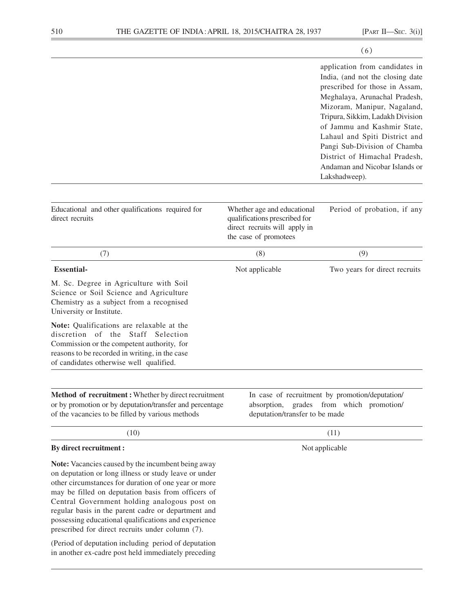|                                                                                                                                                                                                                                                                                                                                                                                          |                                                                                                                                     | (6)                                                                                                                                                                                                                                                                                                                                                                                          |
|------------------------------------------------------------------------------------------------------------------------------------------------------------------------------------------------------------------------------------------------------------------------------------------------------------------------------------------------------------------------------------------|-------------------------------------------------------------------------------------------------------------------------------------|----------------------------------------------------------------------------------------------------------------------------------------------------------------------------------------------------------------------------------------------------------------------------------------------------------------------------------------------------------------------------------------------|
|                                                                                                                                                                                                                                                                                                                                                                                          |                                                                                                                                     | application from candidates in<br>India, (and not the closing date<br>prescribed for those in Assam,<br>Meghalaya, Arunachal Pradesh,<br>Mizoram, Manipur, Nagaland,<br>Tripura, Sikkim, Ladakh Division<br>of Jammu and Kashmir State,<br>Lahaul and Spiti District and<br>Pangi Sub-Division of Chamba<br>District of Himachal Pradesh,<br>Andaman and Nicobar Islands or<br>Lakshadweep). |
| Educational and other qualifications required for<br>direct recruits                                                                                                                                                                                                                                                                                                                     | Whether age and educational<br>qualifications prescribed for<br>direct recruits will apply in<br>the case of promotees              | Period of probation, if any                                                                                                                                                                                                                                                                                                                                                                  |
| (7)                                                                                                                                                                                                                                                                                                                                                                                      | (8)                                                                                                                                 | (9)                                                                                                                                                                                                                                                                                                                                                                                          |
| <b>Essential-</b>                                                                                                                                                                                                                                                                                                                                                                        | Not applicable                                                                                                                      | Two years for direct recruits                                                                                                                                                                                                                                                                                                                                                                |
| M. Sc. Degree in Agriculture with Soil<br>Science or Soil Science and Agriculture<br>Chemistry as a subject from a recognised<br>University or Institute.<br>Note: Qualifications are relaxable at the                                                                                                                                                                                   |                                                                                                                                     |                                                                                                                                                                                                                                                                                                                                                                                              |
| discretion<br>of<br>the<br>Staff<br>Selection<br>Commission or the competent authority, for<br>reasons to be recorded in writing, in the case<br>of candidates otherwise well qualified.                                                                                                                                                                                                 |                                                                                                                                     |                                                                                                                                                                                                                                                                                                                                                                                              |
| Method of recruitment: Whether by direct recruitment<br>or by promotion or by deputation/transfer and percentage<br>of the vacancies to be filled by various methods                                                                                                                                                                                                                     | In case of recruitment by promotion/deputation/<br>from which promotion/<br>absorption,<br>grades<br>deputation/transfer to be made |                                                                                                                                                                                                                                                                                                                                                                                              |
| (10)                                                                                                                                                                                                                                                                                                                                                                                     |                                                                                                                                     | (11)                                                                                                                                                                                                                                                                                                                                                                                         |
| By direct recruitment :                                                                                                                                                                                                                                                                                                                                                                  | Not applicable                                                                                                                      |                                                                                                                                                                                                                                                                                                                                                                                              |
| Note: Vacancies caused by the incumbent being away<br>on deputation or long illness or study leave or under<br>other circumstances for duration of one year or more<br>may be filled on deputation basis from officers of<br>Central Government holding analogous post on<br>regular basis in the parent cadre or department and<br>possessing educational qualifications and experience |                                                                                                                                     |                                                                                                                                                                                                                                                                                                                                                                                              |

(Period of deputation including period of deputation in another ex-cadre post held immediately preceding

prescribed for direct recruits under column (7).